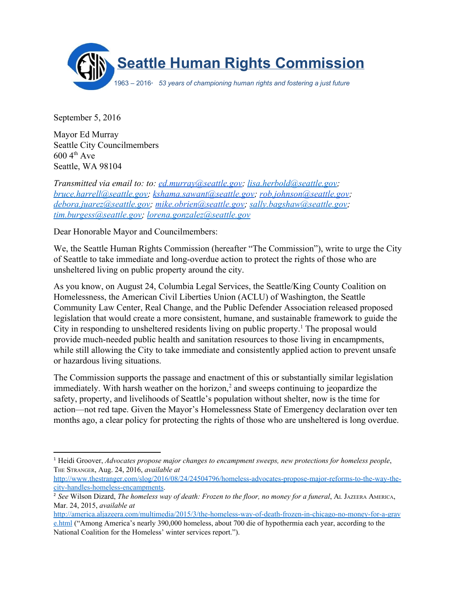

September 5, 2016

Mayor Ed Murray Seattle City Councilmembers  $600\,4^{\text{th}}$  Ave Seattle, WA 98104

*Transmitted via email to: to: [ed.murray@seattle.gov;](mailto:ed.murray@seattle.gov) [lisa.herbold@seattle.gov;](mailto:lisa.herbold@seattle.gov) [bruce.harrell@seattle.gov;](mailto:bruce.harrell@seattle.gov) [kshama.sawant@seattle.gov;](mailto:kshama.sawant@seattle.gov) [rob.johnson@seattle.gov;](mailto:rob.johnson@seattle.gov) [debora.juarez@seattle.gov;](mailto:debora.juarez@seattle.gov) [mike.obrien@seattle.gov;](mailto:mike.obrien@seattle.gov) [sally.bagshaw@seattle.gov;](mailto:sally.bagshaw@seattle.gov) [tim.burgess@seattle.gov;](mailto:tim.burgess@seattle.gov) [lorena.gonzalez@seattle.gov](mailto:lorena.gonzalez@seattle.gov)*

Dear Honorable Mayor and Councilmembers:

We, the Seattle Human Rights Commission (hereafter "The Commission"), write to urge the City of Seattle to take immediate and long-overdue action to protect the rights of those who are unsheltered living on public property around the city.

As you know, on August 24, Columbia Legal Services, the Seattle/King County Coalition on Homelessness, the American Civil Liberties Union (ACLU) of Washington, the Seattle Community Law Center, Real Change, and the Public Defender Association released proposed legislation that would create a more consistent, humane, and sustainable framework to guide the City in responding to unsheltered residents living on public property.<sup>1</sup> The proposal would provide much-needed public health and sanitation resources to those living in encampments, while still allowing the City to take immediate and consistently applied action to prevent unsafe or hazardous living situations.

The Commission supports the passage and enactment of this or substantially similar legislation immediately. With harsh weather on the horizon, $<sup>2</sup>$  and sweeps continuing to jeopardize the</sup> safety, property, and livelihoods of Seattle's population without shelter, now is the time for action—not red tape. Given the Mayor's Homelessness State of Emergency declaration over ten months ago, a clear policy for protecting the rights of those who are unsheltered is long overdue.

<sup>1</sup> Heidi Groover, *Advocates propose major changes to encampment sweeps, new protections for homeless people*, THE STRANGER, Aug. 24, 2016, *available at*

http://www.thestranger.com/slog/2016/08/24/24504796/homeless-advocates-propose-major-reforms-to-the-way-thecity-handles-homeless-encampments.

<sup>2</sup> *See* Wilson Dizard, *The homeless way of death: Frozen to the floor, no money for a funeral*, AL JAZEERA AMERICA, Mar. 24, 2015, *available at*

http://america.aljazeera.com/multimedia/2015/3/the-homeless-way-of-death-frozen-in-chicago-no-money-for-a-grav [e.html](http://america.aljazeera.com/multimedia/2015/3/the-homeless-way-of-death-frozen-in-chicago-no-money-for-a-grave.html) ("Among America's nearly 390,000 homeless, about 700 die of hypothermia each year, according to the National Coalition for the Homeless' winter services report.").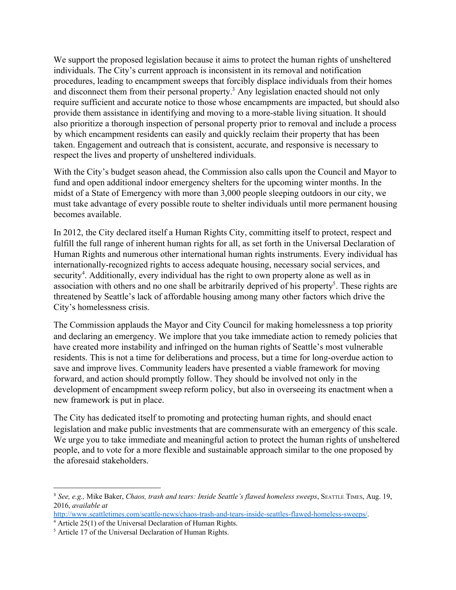We support the proposed legislation because it aims to protect the human rights of unsheltered individuals. The City's current approach is inconsistent in its removal and notification procedures, leading to encampment sweeps that forcibly displace individuals from their homes and disconnect them from their personal property.<sup>3</sup> Any legislation enacted should not only require sufficient and accurate notice to those whose encampments are impacted, but should also provide them assistance in identifying and moving to a morestable living situation. It should also prioritize a thorough inspection of personal property prior to removal and include a process by which encampment residents can easily and quickly reclaim their property that has been taken. Engagement and outreach that is consistent, accurate, and responsive is necessary to respect the lives and property of unsheltered individuals.

With the City's budget season ahead, the Commission also calls upon the Council and Mayor to fund and open additional indoor emergency shelters for the upcoming winter months. In the midst of a State of Emergency with more than 3,000 people sleeping outdoors in our city, we must take advantage of every possible route to shelter individuals until more permanent housing becomes available.

In 2012, the City declared itself a Human Rights City, committing itself to protect, respect and fulfill the full range of inherent human rights for all, as set forth in the Universal Declaration of Human Rights and numerous other international human rights instruments. Every individual has internationally-recognized rights to access adequate housing, necessary social services, and security<sup>4</sup>. Additionally, every individual has the right to own property alone as well as in association with others and no one shall be arbitrarily deprived of his property<sup>5</sup>. These rights are threatened by Seattle's lack of affordable housing among many other factors which drive the City's homelessness crisis.

The Commission applauds the Mayor and City Council for making homelessness a top priority and declaring an emergency. We implore that you take immediate action to remedy policies that have created more instability and infringed on the human rights of Seattle's most vulnerable residents. This is not a time for deliberations and process, but a time for long-overdue action to save and improve lives. Community leaders have presented a viable framework for moving forward, and action should promptly follow. They should be involved not only in the development of encampment sweep reform policy, but also in overseeing its enactment when a new framework is put in place.

The City has dedicated itself to promoting and protecting human rights, and should enact legislation and make public investments that are commensurate with an emergency of this scale. We urge you to take immediate and meaningful action to protect the human rights of unsheltered people, and to vote for a more flexible and sustainable approach similar to the one proposed by the aforesaid stakeholders.

<sup>3</sup> *See, e.g.,* Mike Baker, *Chaos, trash and tears: Inside Seattle's flawed homeless sweeps*, SEATTLE TIMES, Aug. 19, 2016, *available at*

http://www.seattletimes.com/seattle-news/chaos-trash-and-tears-inside-seattles-flawed-homeless-sweeps/.

<sup>&</sup>lt;sup>4</sup> Article 25(1) of the Universal Declaration of Human Rights.

<sup>&</sup>lt;sup>5</sup> Article 17 of the Universal Declaration of Human Rights.